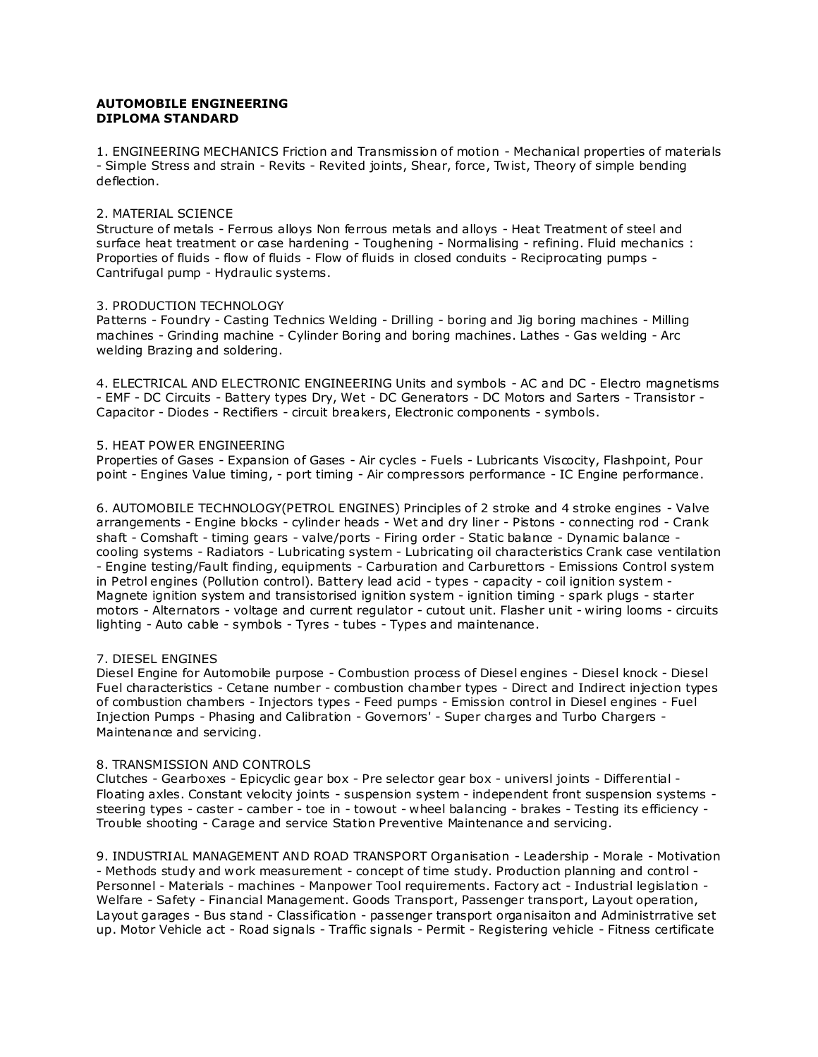## **AUTOMOBILE ENGINEERING DIPLOMA STANDARD**

1. ENGINEERING MECHANICS Friction and Transmission of motion - Mechanical properties of materials - Simple Stress and strain - Revits - Revited joints, Shear, force, Twist, Theory of simple bending deflection.

#### 2. MATERIAL SCIENCE

Structure of metals - Ferrous alloys Non ferrous metals and alloys - Heat Treatment of steel and surface heat treatment or case hardening - Toughening - Normalising - refining. Fluid mechanics : Proporties of fluids - flow of fluids - Flow of fluids in closed conduits - Reciprocating pumps - Cantrifugal pump - Hydraulic systems.

## 3. PRODUCTION TECHNOLOGY

Patterns - Foundry - Casting Technics Welding - Drilling - boring and Jig boring machines - Milling machines - Grinding machine - Cylinder Boring and boring machines. Lathes - Gas welding - Arc welding Brazing and soldering.

4. ELECTRICAL AND ELECTRONIC ENGINEERING Units and symbols - AC and DC - Electro magnetisms - EMF - DC Circuits - Battery types Dry, Wet - DC Generators - DC Motors and Sarters - Transistor - Capacitor - Diodes - Rectifiers - circuit breakers, Electronic components - symbols.

## 5. HEAT POWER ENGINEERING

Properties of Gases - Expansion of Gases - Air cycles - Fuels - Lubricants Viscocity, Flashpoint, Pour point - Engines Value timing, - port timing - Air compressors performance - IC Engine performance.

6. AUTOMOBILE TECHNOLOGY(PETROL ENGINES) Principles of 2 stroke and 4 stroke engines - Valve arrangements - Engine blocks - cylinder heads - Wet and dry liner - Pistons - connecting rod - Crank shaft - Comshaft - timing gears - valve/ports - Firing order - Static balance - Dynamic balance cooling systems - Radiators - Lubricating system - Lubricating oil characteristics Crank case ventilation - Engine testing/Fault finding, equipments - Carburation and Carburettors - Emissions Control system in Petrol engines (Pollution control). Battery lead acid - types - capacity - coil ignition system - Magnete ignition system and transistorised ignition system - ignition timing - spark plugs - starter motors - Alternators - voltage and current regulator - cutout unit. Flasher unit - wiring looms - circuits lighting - Auto cable - symbols - Tyres - tubes - Types and maintenance.

# 7. DIESEL ENGINES

Diesel Engine for Automobile purpose - Combustion process of Diesel engines - Diesel knock - Diesel Fuel characteristics - Cetane number - combustion chamber types - Direct and Indirect injection types of combustion chambers - Injectors types - Feed pumps - Emission control in Diesel engines - Fuel Injection Pumps - Phasing and Calibration - Governors' - Super charges and Turbo Chargers - Maintenance and servicing.

#### 8. TRANSMISSION AND CONTROLS

Clutches - Gearboxes - Epicyclic gear box - Pre selector gear box - universl joints - Differential - Floating axles. Constant velocity joints - suspension system - independent front suspension systems steering types - caster - camber - toe in - towout - wheel balancing - brakes - Testing its efficiency - Trouble shooting - Carage and service Station Preventive Maintenance and servicing.

9. INDUSTRIAL MANAGEMENT AND ROAD TRANSPORT Organisation - Leadership - Morale - Motivation - Methods study and work measurement - concept of time study. Production planning and control - Personnel - Materials - machines - Manpower Tool requirements. Factory act - Industrial legislation - Welfare - Safety - Financial Management. Goods Transport, Passenger transport, Layout operation, Layout garages - Bus stand - Classification - passenger transport organisaiton and Administrrative set up. Motor Vehicle act - Road signals - Traffic signals - Permit - Registering vehicle - Fitness certificate